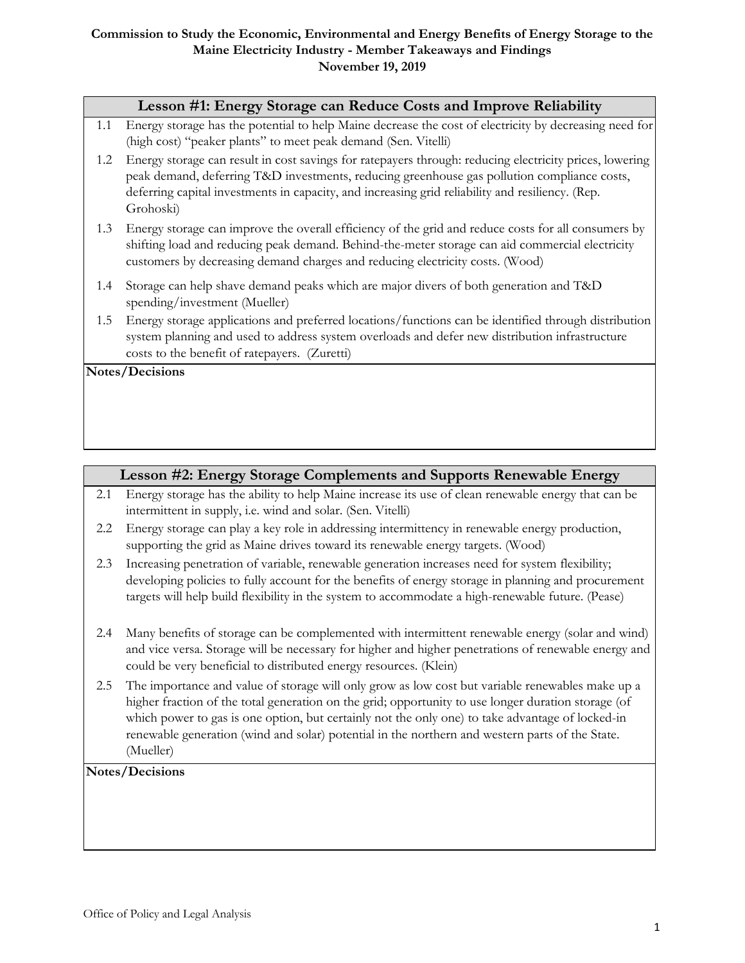#### **Commission to Study the Economic, Environmental and Energy Benefits of Energy Storage to the Maine Electricity Industry - Member Takeaways and Findings November 19, 2019**

|     | Lesson #1: Energy Storage can Reduce Costs and Improve Reliability                                                                                                                                                                                                                                                      |
|-----|-------------------------------------------------------------------------------------------------------------------------------------------------------------------------------------------------------------------------------------------------------------------------------------------------------------------------|
| 1.1 | Energy storage has the potential to help Maine decrease the cost of electricity by decreasing need for<br>(high cost) "peaker plants" to meet peak demand (Sen. Vitelli)                                                                                                                                                |
| 1.2 | Energy storage can result in cost savings for ratepayers through: reducing electricity prices, lowering<br>peak demand, deferring T&D investments, reducing greenhouse gas pollution compliance costs,<br>deferring capital investments in capacity, and increasing grid reliability and resiliency. (Rep.<br>Grohoski) |
| 1.3 | Energy storage can improve the overall efficiency of the grid and reduce costs for all consumers by<br>shifting load and reducing peak demand. Behind-the-meter storage can aid commercial electricity<br>customers by decreasing demand charges and reducing electricity costs. (Wood)                                 |
| 1.4 | Storage can help shave demand peaks which are major divers of both generation and T&D<br>spending/investment (Mueller)                                                                                                                                                                                                  |
| 1.5 | Energy storage applications and preferred locations/functions can be identified through distribution<br>system planning and used to address system overloads and defer new distribution infrastructure<br>costs to the benefit of ratepayers. (Zuretti)                                                                 |
|     | <b>Notes/Decisions</b>                                                                                                                                                                                                                                                                                                  |

# **Lesson #2: Energy Storage Complements and Supports Renewable Energy**

- 2.1 Energy storage has the ability to help Maine increase its use of clean renewable energy that can be intermittent in supply, i.e. wind and solar. (Sen. Vitelli)
- 2.2 Energy storage can play a key role in addressing intermittency in renewable energy production, supporting the grid as Maine drives toward its renewable energy targets. (Wood)
- 2.3 Increasing penetration of variable, renewable generation increases need for system flexibility; developing policies to fully account for the benefits of energy storage in planning and procurement targets will help build flexibility in the system to accommodate a high-renewable future. (Pease)
- 2.4 Many benefits of storage can be complemented with intermittent renewable energy (solar and wind) and vice versa. Storage will be necessary for higher and higher penetrations of renewable energy and could be very beneficial to distributed energy resources. (Klein)
- 2.5 The importance and value of storage will only grow as low cost but variable renewables make up a higher fraction of the total generation on the grid; opportunity to use longer duration storage (of which power to gas is one option, but certainly not the only one) to take advantage of locked-in renewable generation (wind and solar) potential in the northern and western parts of the State. (Mueller)

## **Notes/Decisions**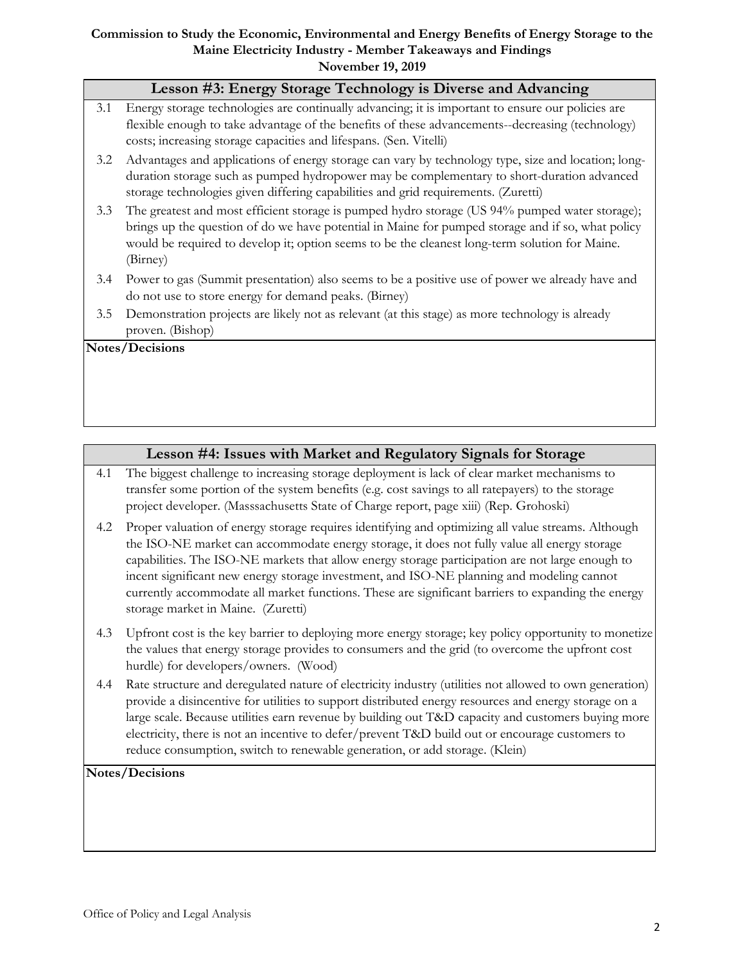#### **Commission to Study the Economic, Environmental and Energy Benefits of Energy Storage to the Maine Electricity Industry - Member Takeaways and Findings November 19, 2019**

|                 | Lesson #3: Energy Storage Technology is Diverse and Advancing                                                                                                                                                                                                                                                     |  |
|-----------------|-------------------------------------------------------------------------------------------------------------------------------------------------------------------------------------------------------------------------------------------------------------------------------------------------------------------|--|
| 3.1             | Energy storage technologies are continually advancing; it is important to ensure our policies are<br>flexible enough to take advantage of the benefits of these advancements--decreasing (technology)<br>costs; increasing storage capacities and lifespans. (Sen. Vitelli)                                       |  |
| 3.2             | Advantages and applications of energy storage can vary by technology type, size and location; long-<br>duration storage such as pumped hydropower may be complementary to short-duration advanced<br>storage technologies given differing capabilities and grid requirements. (Zuretti)                           |  |
| 3.3             | The greatest and most efficient storage is pumped hydro storage (US 94% pumped water storage);<br>brings up the question of do we have potential in Maine for pumped storage and if so, what policy<br>would be required to develop it; option seems to be the cleanest long-term solution for Maine.<br>(Birney) |  |
| 3.4             | Power to gas (Summit presentation) also seems to be a positive use of power we already have and<br>do not use to store energy for demand peaks. (Birney)                                                                                                                                                          |  |
| 3.5             | Demonstration projects are likely not as relevant (at this stage) as more technology is already<br>proven. (Bishop)                                                                                                                                                                                               |  |
| Notes/Decisions |                                                                                                                                                                                                                                                                                                                   |  |

# **Lesson #4: Issues with Market and Regulatory Signals for Storage**

- 4.1 The biggest challenge to increasing storage deployment is lack of clear market mechanisms to transfer some portion of the system benefits (e.g. cost savings to all ratepayers) to the storage project developer. (Masssachusetts State of Charge report, page xiii) (Rep. Grohoski)
- 4.2 Proper valuation of energy storage requires identifying and optimizing all value streams. Although the ISO-NE market can accommodate energy storage, it does not fully value all energy storage capabilities. The ISO-NE markets that allow energy storage participation are not large enough to incent significant new energy storage investment, and ISO-NE planning and modeling cannot currently accommodate all market functions. These are significant barriers to expanding the energy storage market in Maine. (Zuretti)
- 4.3 Upfront cost is the key barrier to deploying more energy storage; key policy opportunity to monetize the values that energy storage provides to consumers and the grid (to overcome the upfront cost hurdle) for developers/owners. (Wood)
- 4.4 Rate structure and deregulated nature of electricity industry (utilities not allowed to own generation) provide a disincentive for utilities to support distributed energy resources and energy storage on a large scale. Because utilities earn revenue by building out T&D capacity and customers buying more electricity, there is not an incentive to defer/prevent T&D build out or encourage customers to reduce consumption, switch to renewable generation, or add storage. (Klein)

## **Notes/Decisions**